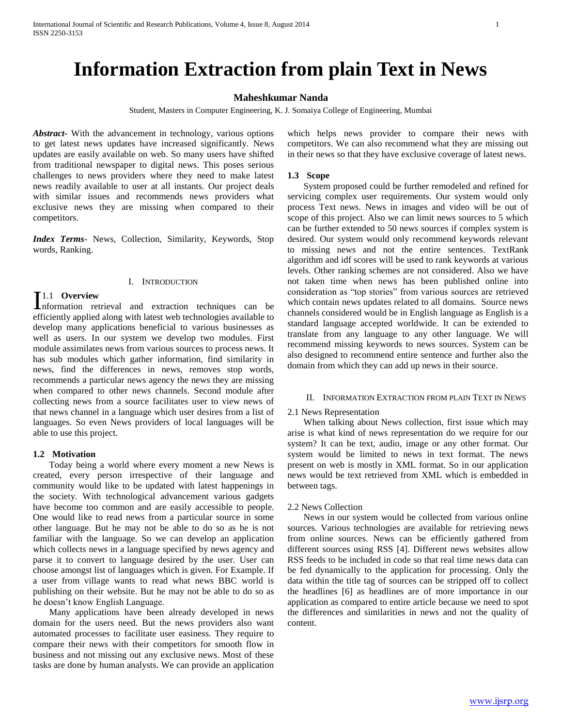# **Information Extraction from plain Text in News**

# **Maheshkumar Nanda**

Student, Masters in Computer Engineering, K. J. Somaiya College of Engineering, Mumbai

*Abstract***-** With the advancement in technology, various options to get latest news updates have increased significantly. News updates are easily available on web. So many users have shifted from traditional newspaper to digital news. This poses serious challenges to news providers where they need to make latest news readily available to user at all instants. Our project deals with similar issues and recommends news providers what exclusive news they are missing when compared to their competitors.

*Index Terms*- News, Collection, Similarity, Keywords, Stop words, Ranking.

# I. INTRODUCTION

## 1.1 **Overview**

**I**.1 **Overview**<br> **Information** retrieval and extraction techniques can be efficiently applied along with latest web technologies available to develop many applications beneficial to various businesses as well as users. In our system we develop two modules. First module assimilates news from various sources to process news. It has sub modules which gather information, find similarity in news, find the differences in news, removes stop words, recommends a particular news agency the news they are missing when compared to other news channels. Second module after collecting news from a source facilitates user to view news of that news channel in a language which user desires from a list of languages. So even News providers of local languages will be able to use this project.

# **1.2 Motivation**

 Today being a world where every moment a new News is created, every person irrespective of their language and community would like to be updated with latest happenings in the society. With technological advancement various gadgets have become too common and are easily accessible to people. One would like to read news from a particular source in some other language. But he may not be able to do so as he is not familiar with the language. So we can develop an application which collects news in a language specified by news agency and parse it to convert to language desired by the user. User can choose amongst list of languages which is given. For Example. If a user from village wants to read what news BBC world is publishing on their website. But he may not be able to do so as he doesn't know English Language.

 Many applications have been already developed in news domain for the users need. But the news providers also want automated processes to facilitate user easiness. They require to compare their news with their competitors for smooth flow in business and not missing out any exclusive news. Most of these tasks are done by human analysts. We can provide an application

which helps news provider to compare their news with competitors. We can also recommend what they are missing out in their news so that they have exclusive coverage of latest news.

## **1.3 Scope**

 System proposed could be further remodeled and refined for servicing complex user requirements. Our system would only process Text news. News in images and video will be out of scope of this project. Also we can limit news sources to 5 which can be further extended to 50 news sources if complex system is desired. Our system would only recommend keywords relevant to missing news and not the entire sentences. TextRank algorithm and idf scores will be used to rank keywords at various levels. Other ranking schemes are not considered. Also we have not taken time when news has been published online into consideration as "top stories" from various sources are retrieved which contain news updates related to all domains. Source news channels considered would be in English language as English is a standard language accepted worldwide. It can be extended to translate from any language to any other language. We will recommend missing keywords to news sources. System can be also designed to recommend entire sentence and further also the domain from which they can add up news in their source.

## II. INFORMATION EXTRACTION FROM PLAIN TEXT IN NEWS

#### 2.1 News Representation

 When talking about News collection, first issue which may arise is what kind of news representation do we require for our system? It can be text, audio, image or any other format. Our system would be limited to news in text format. The news present on web is mostly in XML format. So in our application news would be text retrieved from XML which is embedded in between tags.

#### 2.2 News Collection

 News in our system would be collected from various online sources. Various technologies are available for retrieving news from online sources. News can be efficiently gathered from different sources using RSS [4]. Different news websites allow RSS feeds to be included in code so that real time news data can be fed dynamically to the application for processing. Only the data within the title tag of sources can be stripped off to collect the headlines [6] as headlines are of more importance in our application as compared to entire article because we need to spot the differences and similarities in news and not the quality of content.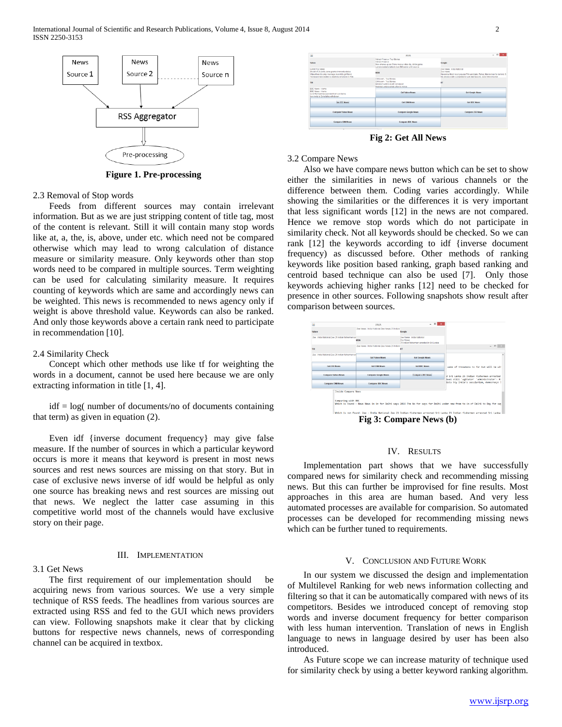

**Figure 1. Pre-processing**

# 2.3 Removal of Stop words

 Feeds from different sources may contain irrelevant information. But as we are just stripping content of title tag, most of the content is relevant. Still it will contain many stop words like at, a, the, is, above, under etc. which need not be compared otherwise which may lead to wrong calculation of distance measure or similarity measure. Only keywords other than stop words need to be compared in multiple sources. Term weighting can be used for calculating similarity measure. It requires counting of keywords which are same and accordingly news can be weighted. This news is recommended to news agency only if weight is above threshold value. Keywords can also be ranked. And only those keywords above a certain rank need to participate in recommendation [10].

## 2.4 Similarity Check

 Concept which other methods use like tf for weighting the words in a document, cannot be used here because we are only extracting information in title [1, 4].

 idf = log( number of documents/no of documents containing that term) as given in equation (2).

 Even idf {inverse document frequency} may give false measure. If the number of sources in which a particular keyword occurs is more it means that keyword is present in most news sources and rest news sources are missing on that story. But in case of exclusive news inverse of idf would be helpful as only one source has breaking news and rest sources are missing out that news. We neglect the latter case assuming in this competitive world most of the channels would have exclusive story on their page.

## III. IMPLEMENTATION

# 3.1 Get News

 The first requirement of our implementation should be acquiring news from various sources. We use a very simple technique of RSS feeds. The headlines from various sources are extracted using RSS and fed to the GUI which news providers can view. Following snapshots make it clear that by clicking buttons for respective news channels, news of corresponding channel can be acquired in textbox.



**Fig 2: Get All News**

# 3.2 Compare News

 Also we have compare news button which can be set to show either the similarities in news of various channels or the difference between them. Coding varies accordingly. While showing the similarities or the differences it is very important that less significant words [12] in the news are not compared. Hence we remove stop words which do not participate in similarity check. Not all keywords should be checked. So we can rank [12] the keywords according to idf {inverse document frequency) as discussed before. Other methods of ranking keywords like position based ranking, graph based ranking and centroid based technique can also be used [7]. Only those keywords achieving higher ranks [12] need to be checked for presence in other sources. Following snapshots show result after comparison between sources.



**Fig 3: Compare News (b)**

# IV. RESULTS

 Implementation part shows that we have successfully compared news for similarity check and recommending missing news. But this can further be improvised for fine results. Most approaches in this area are human based. And very less automated processes are available for comparision. So automated processes can be developed for recommending missing news which can be further tuned to requirements.

# V. CONCLUSION AND FUTURE WORK

 In our system we discussed the design and implementation of Multilevel Ranking for web news information collecting and filtering so that it can be automatically compared with news of its competitors. Besides we introduced concept of removing stop words and inverse document frequency for better comparison with less human intervention. Translation of news in English language to news in language desired by user has been also introduced.

 As Future scope we can increase maturity of technique used for similarity check by using a better keyword ranking algorithm.